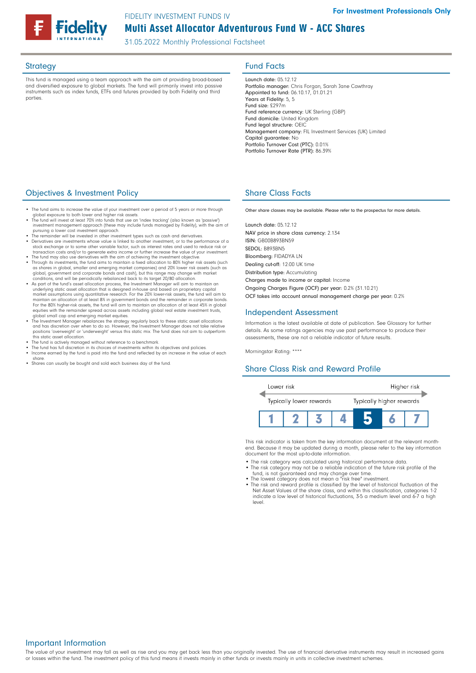# Multi Asset Allocator Adventurous Fund W - ACC Shares FIDELITY INVESTMENT FUNDS IV

31.05.2022 Monthly Professional Factsheet

This fund is managed using a team approach with the aim of providing broad-based and diversified exposure to global markets. The fund will primarily invest into passive instruments such as index funds, ETFs and futures provided by both Fidelity and third parties.

## Strategy **Fund Facts**

Launch date: 05.12.12 Portfolio manager: Chris Forgan, Sarah Jane Cawthray Appointed to fund: 06.10.17, 01.01.21 Years at Fidelity: 5, 5 Fund size: £297m Fund reference currency: UK Sterling (GBP) Fund domicile: United Kingdom Fund legal structure: OEIC Management company: FIL Investment Services (UK) Limited Capital guarantee: No Portfolio Turnover Cost (PTC): 0.01% Portfolio Turnover Rate (PTR): 86.39%

## **Objectives & Investment Policy Share Class Facts** Share Class Facts

- The fund aims to increase the value of your investment over a period of 5 years or more through
- global exposure to both lower and higher risk assets. The fund will invest at least 70% into funds that use an 'index tracking' (also known as 'passive') investment management approach (these may include funds managed by Fidelity), with the aim of<br>pursuing a lower cost investment approach.<br>• The remainder will be invested in other investment types such as cash and derivati
- Derivatives are investments whose value is linked to another investment, or to the performance of a stock exchange or to some other variable factor, such as interest rates and used to reduce risk or
- transaction costs and/or to generate extra income or further increase the value of your investment.
- The fund may also use derivatives with the aim of achieving the investment objective. Through its investments, the fund aims to maintain a fixed allocation to 80% higher risk assets (such as shares in global, smaller and emerging market companies) and 20% lower risk assets (such as<br>global, government and corporate bonds and cash), but this range may change with market<br>conditions, and will be periodically re
- As part of the fund's asset allocation process, the Investment Manager will aim to maintain an<br>underlying static asset allocation that is designed in-house and based on proprietary capital<br>market assumptions using quanti maintain an allocation of at least 8% in government bonds and the remainder in corporate bonds. For the 80% higher-risk assets, the fund will aim to maintain an allocation of at least 45% in global equities with the remainder spread across assets including global real estate investment trusts,
- global small cap and emerging market equities. The Investment Manager rebalances the strategy regularly back to these static asset allocations and has discretion over when to do so. However, the Investment Manager does not take relative positions 'overweight' or 'underweight' versus this static mix. The fund does not aim to outperform this static asset allocation.
- 
- The fund is actively managed without reference to a benchmark. The fund has full discretion in its choices of investments within its objectives and policies. • Income earned by the fund is paid into the fund and reflected by an increase in the value of each share.
- Shares can usually be bought and sold each business day of the fund.

Other share classes may be available. Please refer to the prospectus for more details.

Launch date: 05.12.12 NAV price in share class currency: 2.134 ISIN: GB00B893BN59 SEDOL: B893BN5 Bloomberg: FIDADYA LN Dealing cut-off: 12:00 UK time Distribution type: Accumulating Charges made to income or capital: Income Ongoing Charges Figure (OCF) per year: 0.2% (31.10.21) OCF takes into account annual management charge per year: 0.2%

#### Independent Assessment

Information is the latest available at date of publication. See Glossary for further details. As some ratings agencies may use past performance to produce their assessments, these are not a reliable indicator of future results.

Morningstar Rating: \*\*\*\*

## Share Class Risk and Reward Profile



This risk indicator is taken from the key information document at the relevant monthend. Because it may be updated during a month, please refer to the key information document for the most up-to-date information.

- The risk category was calculated using historical performance data. • The risk category may not be a reliable indication of the future risk profile of the fund, is not guaranteed and may change over time.
- 
- The lowest category does not mean a "risk free" investment. The risk and reward profile is classified by the level of historical fluctuation of the Net Asset Values of the share class, and within this classification, categories 1-2 indicate a low level of historical fluctuations, 3-5 a medium level and 6-7 a high level.

The value of your investment may fall as well as rise and you may get back less than you originally invested. The use of financial derivative instruments may result in increased gains or losses within the fund. The investment policy of this fund means it invests mainly in other funds or invests mainly in units in collective investment schemes.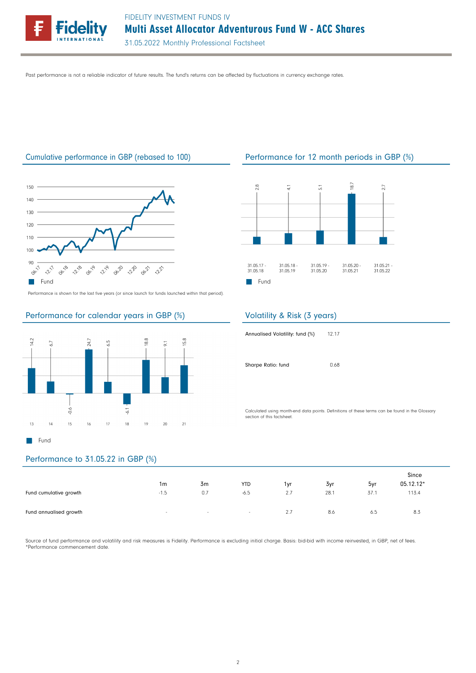

Past performance is not a reliable indicator of future results. The fund's returns can be affected by fluctuations in currency exchange rates.



Performance is shown for the last five years (or since launch for funds launched within that period).

## Performance for calendar years in GBP (%)



## Performance to 31.05.22 in GBP (%)

|                        | 1m     | 3 <sub>m</sub> | <b>YTD</b>      | 1yr | 3yr  | $\sim$<br>5yr | Since<br>05.12.12* |
|------------------------|--------|----------------|-----------------|-----|------|---------------|--------------------|
| Fund cumulative growth | $-1.5$ | 0.7            | $-6.5$          | 2.7 | 28.1 | 37.1          | 113.4              |
| Fund annualised growth | $\sim$ | $\sim$         | $\sim 10^{-11}$ | 2.7 | 8.6  | 6.5           | 8.3                |

Source of fund performance and volatility and risk measures is Fidelity. Performance is excluding initial charge. Basis: bid-bid with income reinvested, in GBP, net of fees. \*Performance commencement date.

## Cumulative performance in GBP (rebased to 100) Performance for 12 month periods in GBP (%)



## Volatility & Risk (3 years)

| Annualised Volatility: fund (%) | 12.17 |
|---------------------------------|-------|
| Sharpe Ratio: fund              | 0.68  |

Calculated using month-end data points. Definitions of these terms can be found in the Glossary section of this factsheet.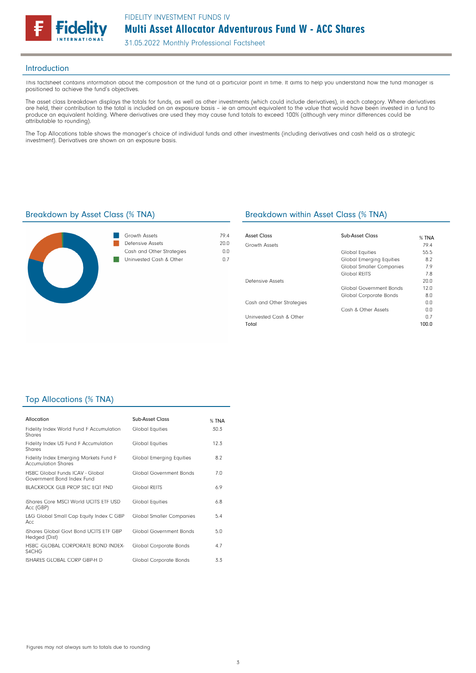

#### Introduction

This factsheet contains information about the composition of the fund at a particular point in time. It aims to help you understand how the fund manager is positioned to achieve the fund's objectives.

The asset class breakdown displays the totals for funds, as well as other investments (which could include derivatives), in each category. Where derivatives are held, their contribution to the total is included on an exposure basis – ie an amount equivalent to the value that would have been invested in a fund to produce an equivalent holding. Where derivatives are used they may cause fund totals to exceed 100% (although very minor differences could be attributable to rounding).

The Top Allocations table shows the manager's choice of individual funds and other investments (including derivatives and cash held as a strategic investment). Derivatives are shown on an exposure basis.



| Growth Assets             | 794  |
|---------------------------|------|
| Defensive Assets          | 20 Q |
| Cash and Other Strategies | n n  |
| Uninvested Cash & Other   | n 7  |
|                           |      |

## Breakdown by Asset Class (% TNA) Breakdown within Asset Class (% TNA)

| Asset Class               | Sub-Asset Class                 | % TNA |
|---------------------------|---------------------------------|-------|
| Growth Assets             |                                 | 79.4  |
|                           | Global Equities                 | 55.5  |
|                           | <b>Global Emerging Equities</b> | 8.2   |
|                           | <b>Global Smaller Companies</b> | 7.9   |
|                           | Global REITS                    | 7.8   |
| Defensive Assets          |                                 | 20.0  |
|                           | Global Government Bonds         | 12.0  |
|                           | Global Corporate Bonds          | 8.0   |
| Cash and Other Strategies |                                 | 0.0   |
|                           | Cash & Other Assets             | 0.0   |
| Uninvested Cash & Other   |                                 | 0.7   |
| Total                     |                                 | 100.0 |

## Top Allocations (% TNA)

| Allocation                                                           | Sub-Asset Class          | % TNA |
|----------------------------------------------------------------------|--------------------------|-------|
| Fidelity Index World Fund F Accumulation<br>Shares                   | Global Equities          | 30.3  |
| Fidelity Index US Fund F Accumulation<br>Shares                      | Global Equities          | 12.3  |
| Fidelity Index Emerging Markets Fund F<br><b>Accumulation Shares</b> | Global Emerging Equities | 8.2   |
| HSBC Global Funds ICAV - Global<br>Government Bond Index Fund        | Global Government Bonds  | 7.0   |
| BLACKROCK GLB PROP SEC FOT FND                                       | Global REITS             | 6.9   |
| iShares Core MSCI World UCITS FTF USD<br>Acc (GBP)                   | <b>Global Equities</b>   | 6.8   |
| L&G Global Small Cap Equity Index C GBP<br>Acc.                      | Global Smaller Companies | 5.4   |
| iShares Global Govt Bond UCITS ETF GBP<br>Hedged (Dist)              | Global Government Bonds  | 5.0   |
| HSBC - GLOBAL CORPORATE BOND INDEX-<br>S4CHG                         | Global Corporate Bonds   | 4.7   |
| ISHARES GLOBAL CORP GBP-H D                                          | Global Corporate Bonds   | 3.3   |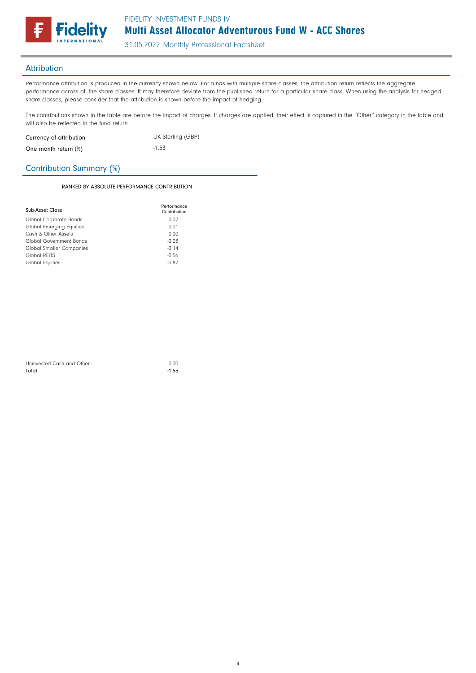

31.05.2022 Monthly Professional Factsheet

## **Attribution**

Performance attribution is produced in the currency shown below. For funds with multiple share classes, the attribution return reflects the aggregate performance across all the share classes. It may therefore deviate from the published return for a particular share class. When using the analysis for hedged share classes, please consider that the attribution is shown before the impact of hedging.

The contributions shown in the table are before the impact of charges. If charges are applied, their effect is captured in the "Other" category in the table and will also be reflected in the fund return.

| Currency of attribution | UK Sterling (GBP) |
|-------------------------|-------------------|
| One month return (%)    | $-1.53$           |

## Contribution Summary (%)

#### RANKED BY ABSOLUTE PERFORMANCE CONTRIBUTION

| Sub-Asset Class                 | Performance<br>Contribution |
|---------------------------------|-----------------------------|
| Global Corporate Bonds          | 0.02                        |
| <b>Global Emerging Equities</b> | 0.01                        |
| Cash & Other Assets             | 0.00                        |
| Global Government Bonds         | $-0.03$                     |
| <b>Global Smaller Companies</b> | $-0.14$                     |
| Global REITS                    | $-0.56$                     |
| Global Equities                 | $-0.82$                     |

| Uninvested Cash and Other | 0.00    |
|---------------------------|---------|
| Total                     | $-1.53$ |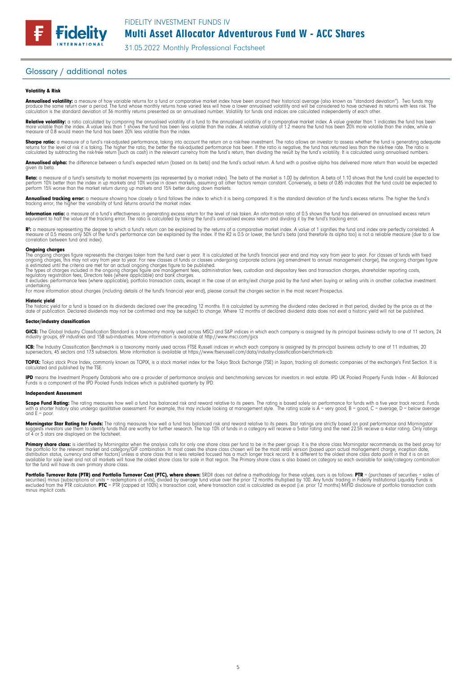Multi Asset Allocator Adventurous Fund W - ACC Shares

31.05.2022 Monthly Professional Factsheet

#### Glossary / additional notes

**Fidelity** 

#### Volatility & Risk

**Annualised volatility:** a measure of how variable returns for a fund or comparative market index have been around their historical average (also known as "standard deviation"). Two funds may<br>produce the same return over a calculation is the standard deviation of 36 monthly returns presented as an annualised number. Volatility for funds and indices are calculated independently of each other.

**Relative volatility:** a ratio calculated by comparing the annualised volatility of a fund to the annualised volatility of a comparative market index. A value greater than 1 indicates the fund has been<br>more volatile than t measure of 0.8 would mean the fund has been 20% less volatile than the index.

**Sharpe ratio:** a measure of a fund's risk-adjusted performance, taking into account the return on a risk-free investment. The ratio allows an investor to assess whether the fund is generating adequate the fund is generati

**Annualised alpha:** the difference between a fund's expected return (based on its beta) and the fund's actual return. A fund with a positive alpha has delivered more return than would be expected given its beto

**Beta:** a measure of a fund's sensitivity to market movements (as represented by a market index). The beta of the market is 1.00 by definition. A beta of 1.10 shows that the fund could be expected to<br>perform 10% better tha

**Annualised tracking error:** a measure showing how closely a fund follows the index to which it is being compared. It is the standard deviation of the fund's excess returns. The higher the fund's<br>tracking error, the higher

**Information ratio:** a measure of a fund's effectiveness in generating excess return for the level of risk taken. An information ratio of 0.5 shows the fund has delivered an annualised excess return<br>equivalent to half the

R": a measure representing the degree to which a fund's return can be explained by the returns of a comparative market index. A value of 1 signifies the fund and index are perfectly correlated. A<br>measure of 0.5 means only correlation between fund and index).

#### **Ongoing charges**<br>The ongoing charge

The ongoing charges figure represents the charges taken from the fund over a year. It is calculated at the fund's financial year end and may vary from year to year. For classes of funds with fixed<br>ongoing charges, this may

The types of charges included in the ongoing charges figure are management fees, administration fees, custodian and depositary fees and transaction charges, shareholder reporting costs,<br>regulatory registration fees, Direct

undertaking. For more information about charges (including details of the fund's financial year end), please consult the charges section in the most recent Prospectus.

#### Historic yield

The historic yield for a fund is based on its dividends declared over the preceding 12 months. It is calculated by summing the dividend rates declared in that period, divided by the price as at the<br>date of publication. Dec

#### Sector/industry classification

**GICS:** The Global Industry Classification Standard is a taxonomy mainly used across MSCI and S&P indices in which each company is assigned by its principal business activity to one of 11 sectors, 24<br>industry groups, 69 in

**ICB:** The Industry Classification Benchmark is a taxonomy mainly used across FTSE Russell indices in which each company is assigned by its principal business activity to one of 11 industries, 20<br>supersectors, 45 sectors a

**TOPIX:** Tokyo stock Price Index, commonly known as TOPIX, is a stock market index for the Tokyo Stock Exchange (TSE) in Japan, tracking all domestic companies of the exchange's First Section. It is<br>calculated and publishe

**IPD** means the Investment Property Databank who are a provider of performance analysis and benchmarking services for investors in real estate. IPD UK Pooled Property Funds Index - All Balanced<br>Funds is a component of the

#### Independent Assessment

**Scope Fund Rating:** The rating measures how well a fund has balanced risk and reward relative to its peers. The rating is based solely on performance for funds with a five year track record. Funds<br>with a shorter history a and  $F =$  poor.

**Morningstar Star Rating for Funds:** The rating measures how well a fund has balanced risk and reward relative to its peers. Star ratings are strictly based on past performance and Morningstar<br>suggests investors use them t

**Primary share class:** is identified by Morningstar when the analysis calls tor only one share class per fund to be in the peer group. It is the share class Morningstar recommends as the best proxy for<br>the portfolio for th

Portfolio Turnover Rate (PTR) and Portfolio Turnover Cost (PTC), where shown: SRDII does not define a methodology for these values; ours is as follows: PTR = (purchases of securities + sales of<br>securities) minus (subscript minus implicit costs.